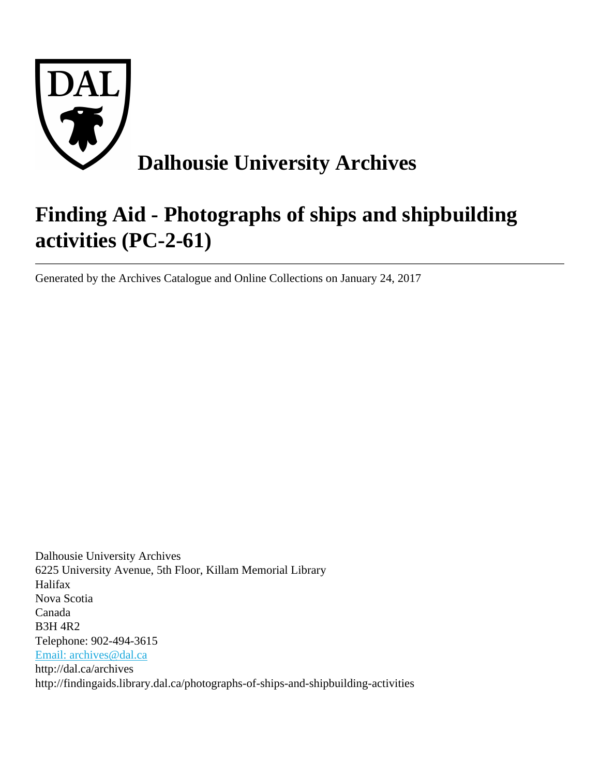

# **Finding Aid - Photographs of ships and shipbuilding activities (PC-2-61)**

Generated by the Archives Catalogue and Online Collections on January 24, 2017

Dalhousie University Archives 6225 University Avenue, 5th Floor, Killam Memorial Library Halifax Nova Scotia Canada B3H 4R2 Telephone: 902-494-3615 [Email: archives@dal.ca](mailto:Email: archives@dal.ca) http://dal.ca/archives http://findingaids.library.dal.ca/photographs-of-ships-and-shipbuilding-activities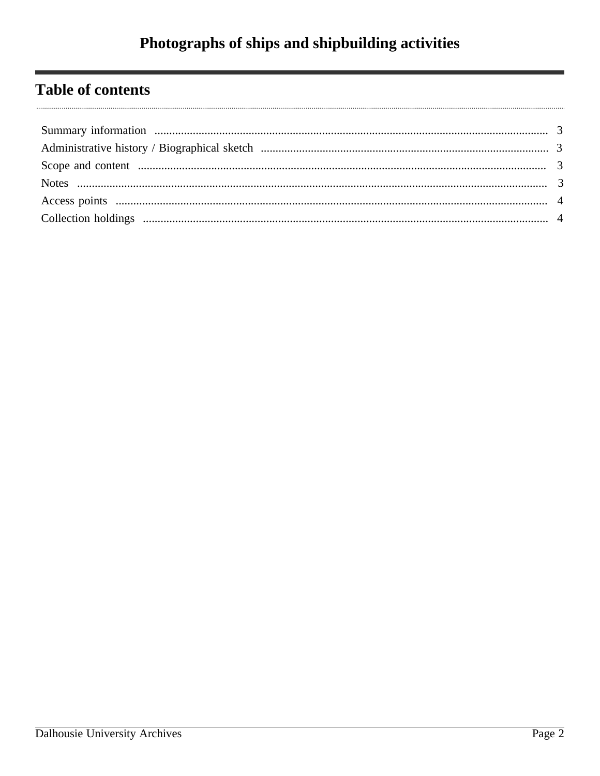# Photographs of ships and shipbuilding activities

# **Table of contents**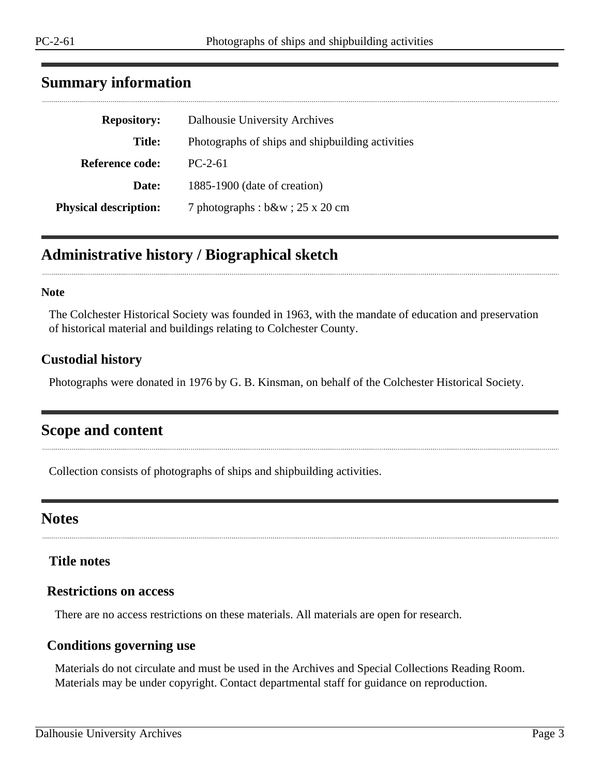# <span id="page-2-0"></span>**Summary information**

| <b>Repository:</b>           | Dalhousie University Archives                    |
|------------------------------|--------------------------------------------------|
| Title:                       | Photographs of ships and shipbuilding activities |
| <b>Reference code:</b>       | $PC-2-61$                                        |
| Date:                        | 1885-1900 (date of creation)                     |
| <b>Physical description:</b> | 7 photographs: $b\&w$ ; 25 x 20 cm               |

# <span id="page-2-1"></span>**Administrative history / Biographical sketch**

#### **Note**

The Colchester Historical Society was founded in 1963, with the mandate of education and preservation of historical material and buildings relating to Colchester County.

#### **Custodial history**

Photographs were donated in 1976 by G. B. Kinsman, on behalf of the Colchester Historical Society.

# <span id="page-2-2"></span>**Scope and content**

Collection consists of photographs of ships and shipbuilding activities.

# <span id="page-2-3"></span>**Notes**

**Title notes**

### **Restrictions on access**

There are no access restrictions on these materials. All materials are open for research.

#### **Conditions governing use**

Materials do not circulate and must be used in the Archives and Special Collections Reading Room. Materials may be under copyright. Contact departmental staff for guidance on reproduction.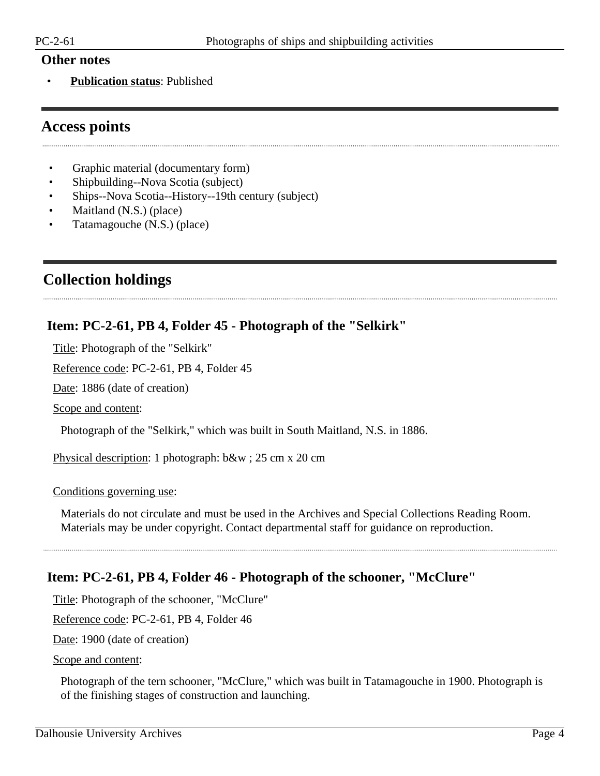#### **Other notes**

• **Publication status**: Published

# <span id="page-3-0"></span>**Access points**

- Graphic material (documentary form)
- Shipbuilding--Nova Scotia (subject)
- Ships--Nova Scotia--History--19th century (subject)
- Maitland (N.S.) (place)
- Tatamagouche (N.S.) (place)

# <span id="page-3-1"></span>**Collection holdings**

## **Item: PC-2-61, PB 4, Folder 45 - Photograph of the "Selkirk"**

Title: Photograph of the "Selkirk"

Reference code: PC-2-61, PB 4, Folder 45

Date: 1886 (date of creation)

Scope and content:

Photograph of the "Selkirk," which was built in South Maitland, N.S. in 1886.

Physical description: 1 photograph: b&w ; 25 cm x 20 cm

Conditions governing use:

Materials do not circulate and must be used in the Archives and Special Collections Reading Room. Materials may be under copyright. Contact departmental staff for guidance on reproduction.

# **Item: PC-2-61, PB 4, Folder 46 - Photograph of the schooner, "McClure"**

Title: Photograph of the schooner, "McClure"

Reference code: PC-2-61, PB 4, Folder 46

Date: 1900 (date of creation)

Scope and content:

Photograph of the tern schooner, "McClure," which was built in Tatamagouche in 1900. Photograph is of the finishing stages of construction and launching.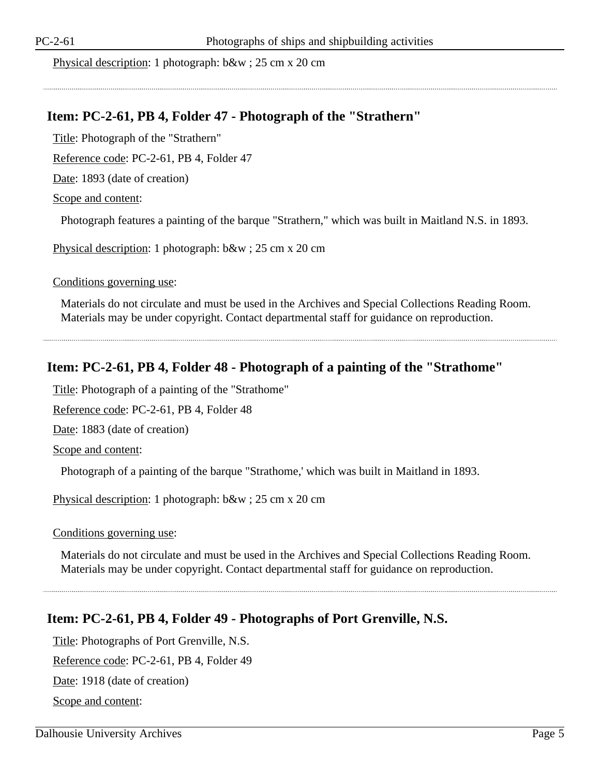Physical description: 1 photograph: b&w ; 25 cm x 20 cm

### **Item: PC-2-61, PB 4, Folder 47 - Photograph of the "Strathern"**

Title: Photograph of the "Strathern"

Reference code: PC-2-61, PB 4, Folder 47

Date: 1893 (date of creation)

Scope and content:

Photograph features a painting of the barque "Strathern," which was built in Maitland N.S. in 1893.

Physical description: 1 photograph: b&w ; 25 cm x 20 cm

Conditions governing use:

Materials do not circulate and must be used in the Archives and Special Collections Reading Room. Materials may be under copyright. Contact departmental staff for guidance on reproduction.

## **Item: PC-2-61, PB 4, Folder 48 - Photograph of a painting of the "Strathome"**

Title: Photograph of a painting of the "Strathome"

Reference code: PC-2-61, PB 4, Folder 48

Date: 1883 (date of creation)

Scope and content:

Photograph of a painting of the barque "Strathome,' which was built in Maitland in 1893.

Physical description: 1 photograph: b&w ; 25 cm x 20 cm

Conditions governing use:

Materials do not circulate and must be used in the Archives and Special Collections Reading Room. Materials may be under copyright. Contact departmental staff for guidance on reproduction.

# **Item: PC-2-61, PB 4, Folder 49 - Photographs of Port Grenville, N.S.**

Title: Photographs of Port Grenville, N.S.

Reference code: PC-2-61, PB 4, Folder 49

Date: 1918 (date of creation)

Scope and content: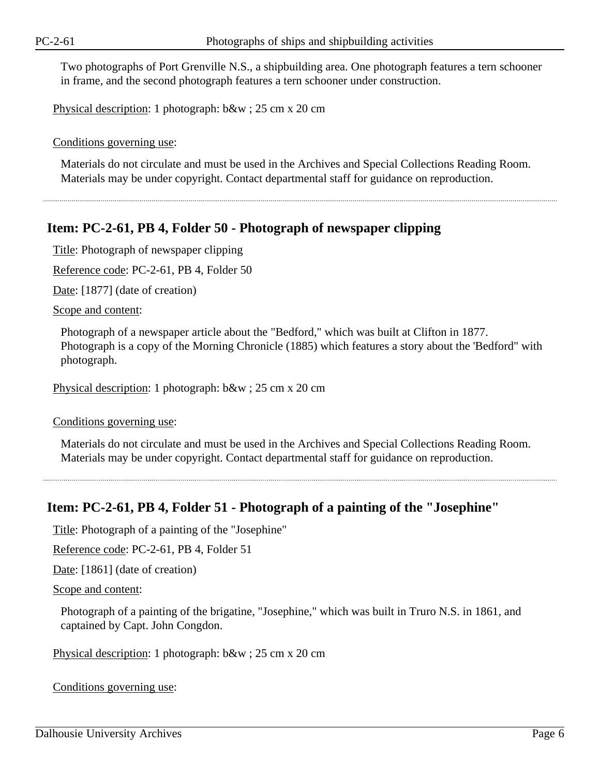Two photographs of Port Grenville N.S., a shipbuilding area. One photograph features a tern schooner in frame, and the second photograph features a tern schooner under construction.

Physical description: 1 photograph: b&w ; 25 cm x 20 cm

Conditions governing use:

Materials do not circulate and must be used in the Archives and Special Collections Reading Room. Materials may be under copyright. Contact departmental staff for guidance on reproduction.

### **Item: PC-2-61, PB 4, Folder 50 - Photograph of newspaper clipping**

Title: Photograph of newspaper clipping

Reference code: PC-2-61, PB 4, Folder 50

Date: [1877] (date of creation)

Scope and content:

Photograph of a newspaper article about the "Bedford," which was built at Clifton in 1877. Photograph is a copy of the Morning Chronicle (1885) which features a story about the 'Bedford" with photograph.

Physical description: 1 photograph: b&w ; 25 cm x 20 cm

Conditions governing use:

Materials do not circulate and must be used in the Archives and Special Collections Reading Room. Materials may be under copyright. Contact departmental staff for guidance on reproduction.

### **Item: PC-2-61, PB 4, Folder 51 - Photograph of a painting of the "Josephine"**

Title: Photograph of a painting of the "Josephine"

Reference code: PC-2-61, PB 4, Folder 51

Date: [1861] (date of creation)

```
Scope and content:
```
Photograph of a painting of the brigatine, "Josephine," which was built in Truro N.S. in 1861, and captained by Capt. John Congdon.

Physical description: 1 photograph: b&w ; 25 cm x 20 cm

Conditions governing use: